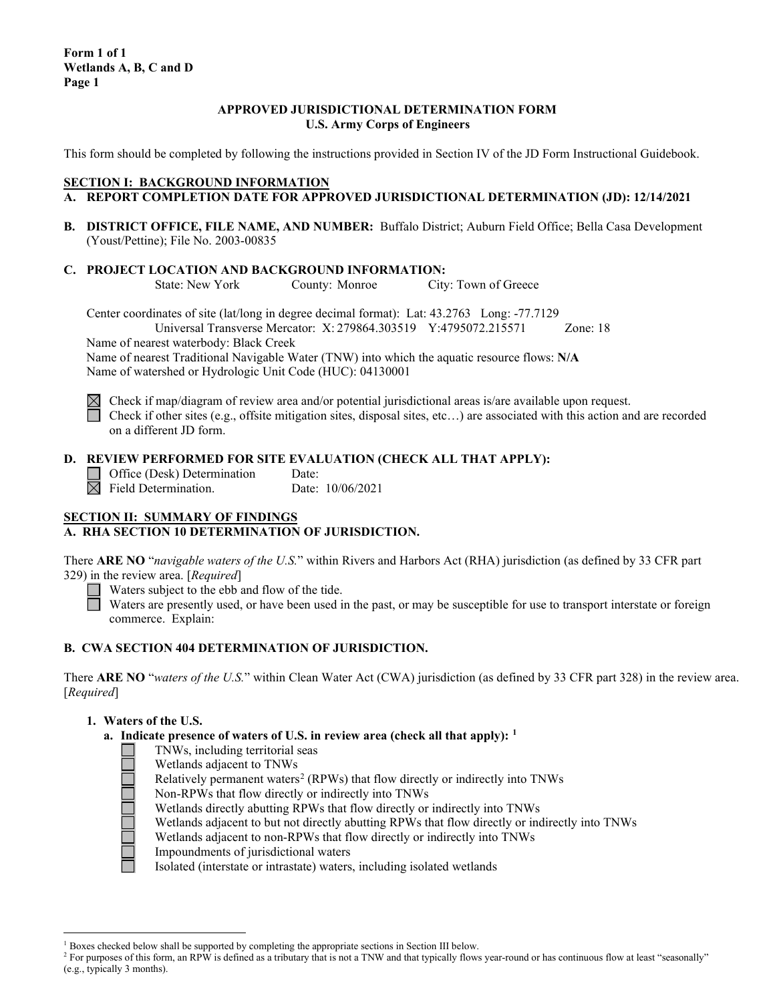### **APPROVED JURISDICTIONAL DETERMINATION FORM U.S. Army Corps of Engineers**

This form should be completed by following the instructions provided in Section IV of the JD Form Instructional Guidebook.

## **SECTION I: BACKGROUND INFORMATION**

- **A. REPORT COMPLETION DATE FOR APPROVED JURISDICTIONAL DETERMINATION (JD): 12/14/2021**
- **B. DISTRICT OFFICE, FILE NAME, AND NUMBER:** Buffalo District; Auburn Field Office; Bella Casa Development (Youst/Pettine); File No. 2003-00835
- **C. PROJECT LOCATION AND BACKGROUND INFORMATION:**

County: Monroe City: Town of Greece

Center coordinates of site (lat/long in degree decimal format): Lat: 43.2763 Long: -77.7129 Universal Transverse Mercator: X: 279864.303519 Y:4795072.215571 Zone: 18

Name of nearest waterbody: Black Creek

Name of nearest Traditional Navigable Water (TNW) into which the aquatic resource flows: **N/A** Name of watershed or Hydrologic Unit Code (HUC): 04130001



 $\boxtimes$  Check if map/diagram of review area and/or potential jurisdictional areas is/are available upon request. Check if other sites (e.g., offsite mitigation sites, disposal sites, etc...) are associated with this action and are recorded on a different JD form.

# **D. REVIEW PERFORMED FOR SITE EVALUATION (CHECK ALL THAT APPLY):**

Office (Desk) Determination Date:  $\overline{\boxtimes}$  Field Determination. Date: 10/06/2021

## **SECTION II: SUMMARY OF FINDINGS A. RHA SECTION 10 DETERMINATION OF JURISDICTION.**

There **ARE NO** "*navigable waters of the U.S.*" within Rivers and Harbors Act (RHA) jurisdiction (as defined by 33 CFR part 329) in the review area. [*Required*]

Waters subject to the ebb and flow of the tide.

Waters are presently used, or have been used in the past, or may be susceptible for use to transport interstate or foreign commerce. Explain:

## **B. CWA SECTION 404 DETERMINATION OF JURISDICTION.**

There **ARE NO** "*waters of the U.S.*" within Clean Water Act (CWA) jurisdiction (as defined by 33 CFR part 328) in the review area. [*Required*]

## **1. Waters of the U.S.**

- **a. Indicate presence of waters of U.S. in review area (check all that apply): [1](#page-0-0)**
	- TNWs, including territorial seas
		- Wetlands adjacent to TNWs
	- Relatively permanent waters<sup>[2](#page-0-1)</sup> (RPWs) that flow directly or indirectly into TNWs
	- Non-RPWs that flow directly or indirectly into TNWs
	- Wetlands directly abutting RPWs that flow directly or indirectly into TNWs
	- Wetlands adjacent to but not directly abutting RPWs that flow directly or indirectly into TNWs
	- Wetlands adjacent to non-RPWs that flow directly or indirectly into TNWs
	- Impoundments of jurisdictional waters

Isolated (interstate or intrastate) waters, including isolated wetlands

 $1$  Boxes checked below shall be supported by completing the appropriate sections in Section III below.

<span id="page-0-1"></span><span id="page-0-0"></span><sup>&</sup>lt;sup>2</sup> For purposes of this form, an RPW is defined as a tributary that is not a TNW and that typically flows year-round or has continuous flow at least "seasonally" (e.g., typically 3 months).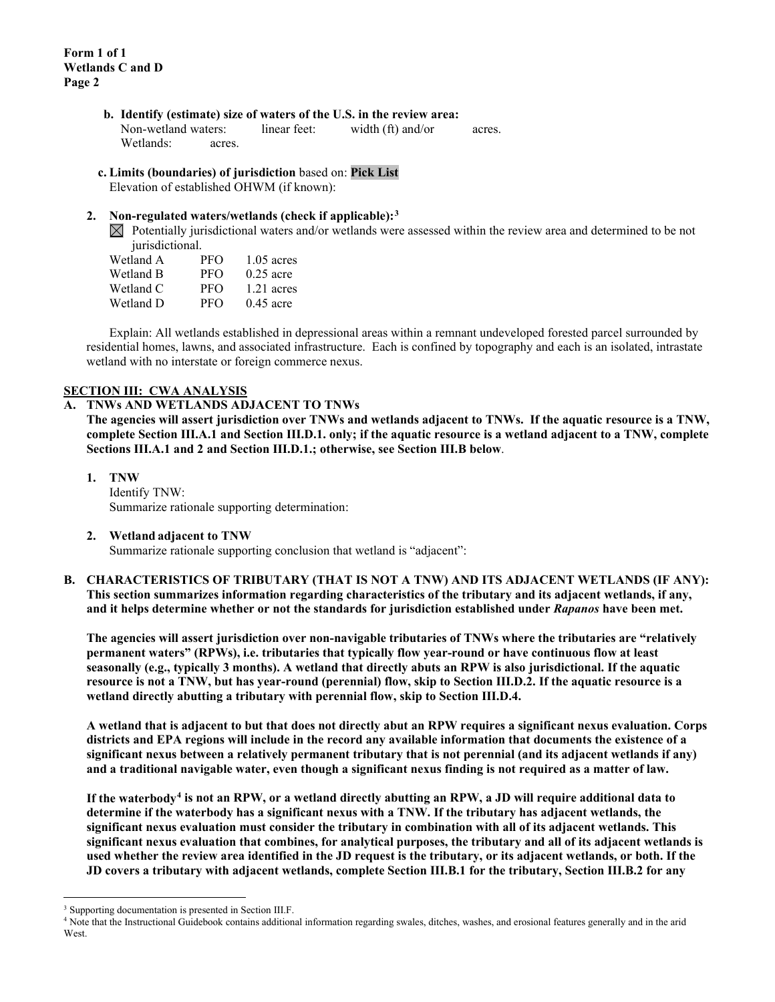- **b. Identify (estimate) size of waters of the U.S. in the review area:** Non-wetland waters: linear feet: width (ft) and/or acres. Wetlands: acres.
- **c. Limits (boundaries) of jurisdiction** based on: **Pick List**

Elevation of established OHWM (if known):

## **2. Non-regulated waters/wetlands (check if applicable):[3](#page-1-0)**

 $\boxtimes$  Potentially jurisdictional waters and/or wetlands were assessed within the review area and determined to be not jurisdictional.

| Wetland A | PFO        | $1.05$ acres |
|-----------|------------|--------------|
| Wetland B | <b>PFO</b> | $0.25$ acre  |
| Wetland C | <b>PFO</b> | $1.21$ acres |
| Wetland D | <b>PFO</b> | $0.45$ acre  |

Explain: All wetlands established in depressional areas within a remnant undeveloped forested parcel surrounded by residential homes, lawns, and associated infrastructure. Each is confined by topography and each is an isolated, intrastate wetland with no interstate or foreign commerce nexus.

#### **SECTION III: CWA ANALYSIS**

#### **A. TNWs AND WETLANDS ADJACENT TO TNWs**

**The agencies will assert jurisdiction over TNWs and wetlands adjacent to TNWs. If the aquatic resource is a TNW, complete Section III.A.1 and Section III.D.1. only; if the aquatic resource is a wetland adjacent to a TNW, complete Sections III.A.1 and 2 and Section III.D.1.; otherwise, see Section III.B below**.

**1. TNW** 

Identify TNW: Summarize rationale supporting determination:

#### **2. Wetland adjacent to TNW**

Summarize rationale supporting conclusion that wetland is "adjacent":

**B. CHARACTERISTICS OF TRIBUTARY (THAT IS NOT A TNW) AND ITS ADJACENT WETLANDS (IF ANY): This section summarizes information regarding characteristics of the tributary and its adjacent wetlands, if any, and it helps determine whether or not the standards for jurisdiction established under** *Rapanos* **have been met.** 

**The agencies will assert jurisdiction over non-navigable tributaries of TNWs where the tributaries are "relatively permanent waters" (RPWs), i.e. tributaries that typically flow year-round or have continuous flow at least seasonally (e.g., typically 3 months). A wetland that directly abuts an RPW is also jurisdictional. If the aquatic resource is not a TNW, but has year-round (perennial) flow, skip to Section III.D.2. If the aquatic resource is a wetland directly abutting a tributary with perennial flow, skip to Section III.D.4.** 

**A wetland that is adjacent to but that does not directly abut an RPW requires a significant nexus evaluation. Corps districts and EPA regions will include in the record any available information that documents the existence of a significant nexus between a relatively permanent tributary that is not perennial (and its adjacent wetlands if any) and a traditional navigable water, even though a significant nexus finding is not required as a matter of law.**

**If the waterbody[4](#page-1-1) is not an RPW, or a wetland directly abutting an RPW, a JD will require additional data to determine if the waterbody has a significant nexus with a TNW. If the tributary has adjacent wetlands, the significant nexus evaluation must consider the tributary in combination with all of its adjacent wetlands. This significant nexus evaluation that combines, for analytical purposes, the tributary and all of its adjacent wetlands is used whether the review area identified in the JD request is the tributary, or its adjacent wetlands, or both. If the JD covers a tributary with adjacent wetlands, complete Section III.B.1 for the tributary, Section III.B.2 for any** 

<span id="page-1-0"></span><sup>&</sup>lt;sup>3</sup> Supporting documentation is presented in Section III.F.

<span id="page-1-1"></span><sup>4</sup> Note that the Instructional Guidebook contains additional information regarding swales, ditches, washes, and erosional features generally and in the arid **West**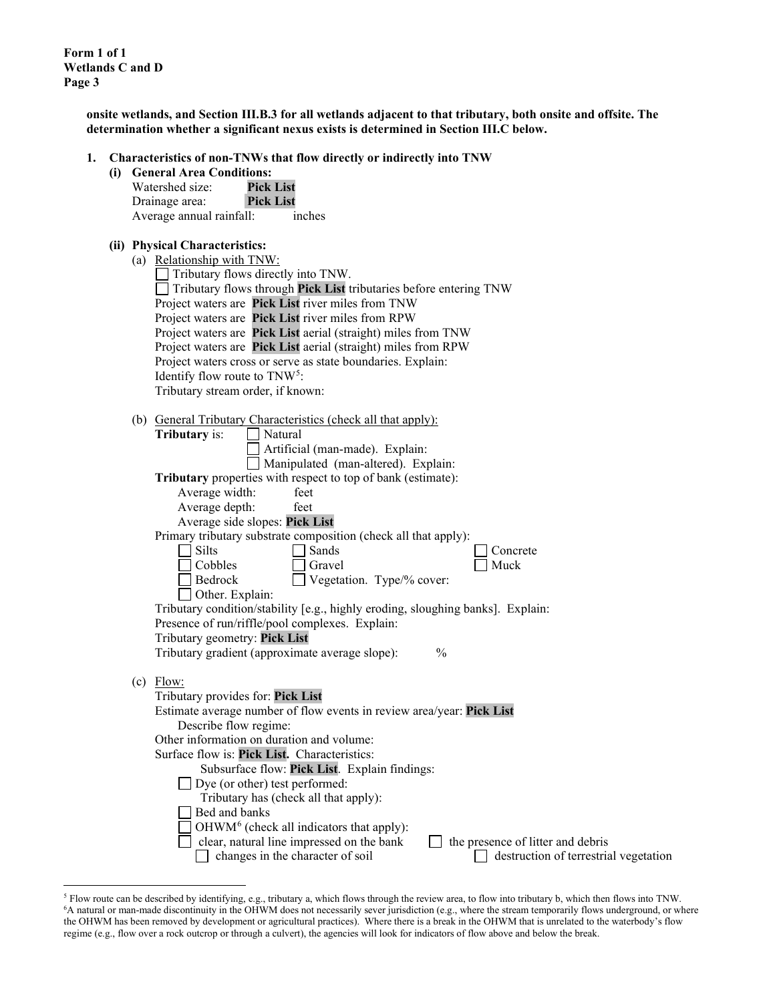**Form 1 of 1 Wetlands C and D Page 3**

> **onsite wetlands, and Section III.B.3 for all wetlands adjacent to that tributary, both onsite and offsite. The determination whether a significant nexus exists is determined in Section III.C below.**

**1. Characteristics of non-TNWs that flow directly or indirectly into TNW**

| (i) General Area Conditions: |          |
|------------------------------|----------|
| Watershed size:              | Pick Lis |

| Watershed size:          | <b>Pick List</b> |  |
|--------------------------|------------------|--|
| Drainage area:           | <b>Pick List</b> |  |
| Average annual rainfall: | inches           |  |

### **(ii) Physical Characteristics:**

| (a) Relationship with TNW:                |                                                                                 |  |
|-------------------------------------------|---------------------------------------------------------------------------------|--|
| $\Box$ Tributary flows directly into TNW. |                                                                                 |  |
|                                           | $\Box$ Tributary flows through <b>Pick List</b> tributaries before entering TNW |  |
|                                           | Project waters are Pick List river miles from TNW                               |  |
|                                           | Project waters are Pick List river miles from RPW                               |  |
|                                           | Project waters are Pick List aerial (straight) miles from TNW                   |  |
|                                           | Project waters are Pick List aerial (straight) miles from RPW                   |  |
|                                           | Project waters cross or serve as state boundaries. Explain:                     |  |
| Identify flow route to $TNW5$ :           |                                                                                 |  |
| Tributary stream order, if known:         |                                                                                 |  |

| (b) General Tributary Characteristics (check all that apply):                                                                                                                                                                                                                                 |  |  |
|-----------------------------------------------------------------------------------------------------------------------------------------------------------------------------------------------------------------------------------------------------------------------------------------------|--|--|
| $T_{\rm{L}}$ $T_{\rm{L}}$ $T_{\rm{L}}$ $T_{\rm{L}}$ $T_{\rm{L}}$ $T_{\rm{L}}$ $T_{\rm{L}}$ $T_{\rm{L}}$ $T_{\rm{L}}$ $T_{\rm{L}}$ $T_{\rm{L}}$ $T_{\rm{L}}$ $T_{\rm{L}}$ $T_{\rm{L}}$ $T_{\rm{L}}$ $T_{\rm{L}}$ $T_{\rm{L}}$ $T_{\rm{L}}$ $T_{\rm{L}}$ $T_{\rm{L}}$ $T_{\rm{L}}$ $T_{\rm{L}}$ |  |  |

|     | Tributary is:<br>Natural                                                        |
|-----|---------------------------------------------------------------------------------|
|     | Artificial (man-made). Explain:                                                 |
|     | Manipulated (man-altered). Explain:                                             |
|     | Tributary properties with respect to top of bank (estimate):                    |
|     | Average width:<br>feet                                                          |
|     | Average depth:<br>feet                                                          |
|     | Average side slopes: Pick List                                                  |
|     | Primary tributary substrate composition (check all that apply):                 |
|     | <b>Silts</b><br>Sands<br>Concrete                                               |
|     | Cobbles<br>Muck<br>Gravel                                                       |
|     | Vegetation. Type/% cover:<br>Bedrock                                            |
|     | Other. Explain:                                                                 |
|     | Tributary condition/stability [e.g., highly eroding, sloughing banks]. Explain: |
|     | Presence of run/riffle/pool complexes. Explain:                                 |
|     | Tributary geometry: Pick List                                                   |
|     | Tributary gradient (approximate average slope):<br>$\frac{0}{0}$                |
|     |                                                                                 |
| (c) | Flow:                                                                           |
|     | Tributary provides for: Pick List                                               |
|     | Estimate average number of flow events in review area/year: Pick List           |
|     | Describe flow regime:                                                           |
|     | Other information on duration and volume:                                       |
|     | Surface flow is: Pick List. Characteristics:                                    |
|     | Subsurface flow: Pick List. Explain findings:                                   |
|     | Dye (or other) test performed:                                                  |
|     | Tributary has (check all that apply):                                           |
|     | Bed and banks                                                                   |
|     | OHWM <sup>6</sup> (check all indicators that apply):                            |
|     | clear, natural line impressed on the bank<br>the presence of litter and debris  |
|     | changes in the character of soil<br>destruction of terrestrial vegetation       |
|     |                                                                                 |

<span id="page-2-1"></span><span id="page-2-0"></span><sup>&</sup>lt;sup>5</sup> Flow route can be described by identifying, e.g., tributary a, which flows through the review area, to flow into tributary b, which then flows into TNW.<br><sup>6</sup>A natural or man-made discontinuity in the OHWM does not nece the OHWM has been removed by development or agricultural practices). Where there is a break in the OHWM that is unrelated to the waterbody's flow regime (e.g., flow over a rock outcrop or through a culvert), the agencies will look for indicators of flow above and below the break.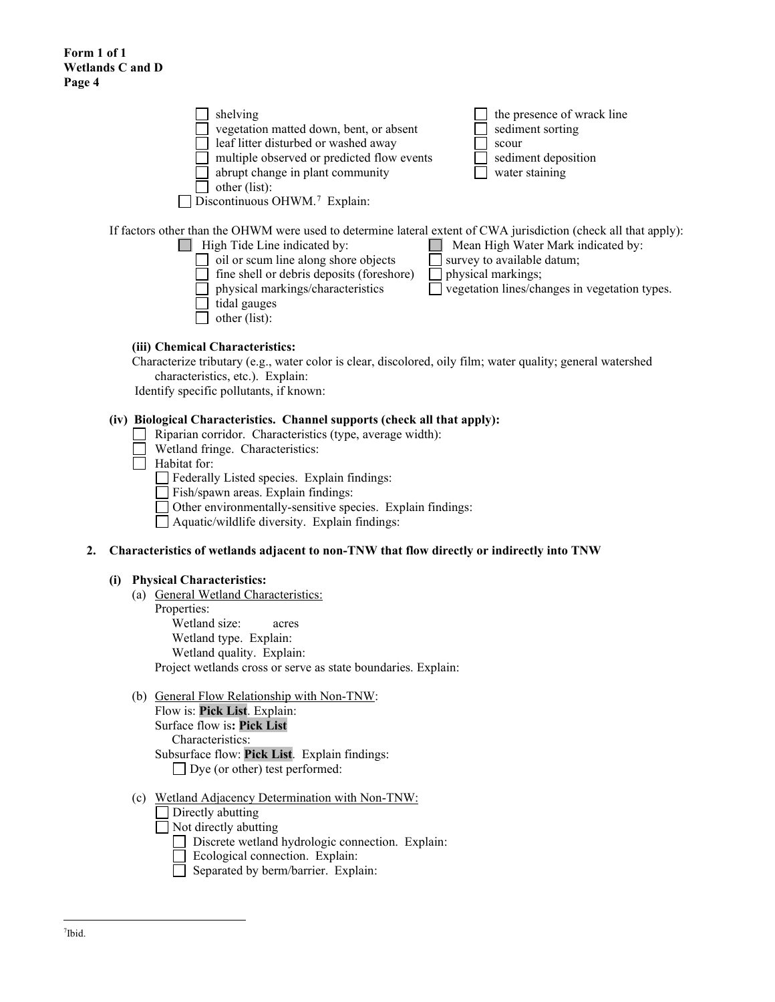| shelving<br>vegetation matted down, bent, or absent<br>leaf litter disturbed or washed away<br>multiple observed or predicted flow events<br>abrupt change in plant community<br>other (list):<br>Discontinuous OHWM. <sup>7</sup> Explain:                                                                 | the presence of wrack line<br>sediment sorting<br>scour<br>sediment deposition<br>water staining                                        |
|-------------------------------------------------------------------------------------------------------------------------------------------------------------------------------------------------------------------------------------------------------------------------------------------------------------|-----------------------------------------------------------------------------------------------------------------------------------------|
| If factors other than the OHWM were used to determine lateral extent of CWA jurisdiction (check all that apply):<br>High Tide Line indicated by:<br>oil or scum line along shore objects<br>fine shell or debris deposits (foreshore)<br>physical markings/characteristics<br>tidal gauges<br>other (list): | Mean High Water Mark indicated by:<br>survey to available datum;<br>physical markings;<br>vegetation lines/changes in vegetation types. |
| (iii) Chemical Characteristics:<br>Characterize tributary (e.g., water color is clear, discolored, oily film; water quality; general watershed<br>characteristics, etc.). Explain:                                                                                                                          |                                                                                                                                         |
| Identify specific pollutants, if known:                                                                                                                                                                                                                                                                     |                                                                                                                                         |

#### **(iv) Biological Characteristics. Channel supports (check all that apply):**

- Riparian corridor. Characteristics (type, average width):
- Wetland fringe. Characteristics:
- Habitat for:
	- Federally Listed species. Explain findings:
	- Fish/spawn areas. Explain findings:
	- Other environmentally-sensitive species. Explain findings:
	- Aquatic/wildlife diversity. Explain findings:

#### **2. Characteristics of wetlands adjacent to non-TNW that flow directly or indirectly into TNW**

#### **(i) Physical Characteristics:**

- (a) General Wetland Characteristics:
	- Properties:
		- Wetland size: acres
		- Wetland type. Explain:
		- Wetland quality. Explain:

Project wetlands cross or serve as state boundaries. Explain:

(b) General Flow Relationship with Non-TNW:

Flow is: **Pick List**. Explain:

Surface flow is**: Pick List** 

Characteristics:

- Subsurface flow: **Pick List**. Explain findings: Dye (or other) test performed:
	-
- <span id="page-3-0"></span>(c) Wetland Adjacency Determination with Non-TNW:
	- $\Box$  Directly abutting
	- Not directly abutting
		- Discrete wetland hydrologic connection. Explain:
		- Ecological connection. Explain:
		- Separated by berm/barrier. Explain: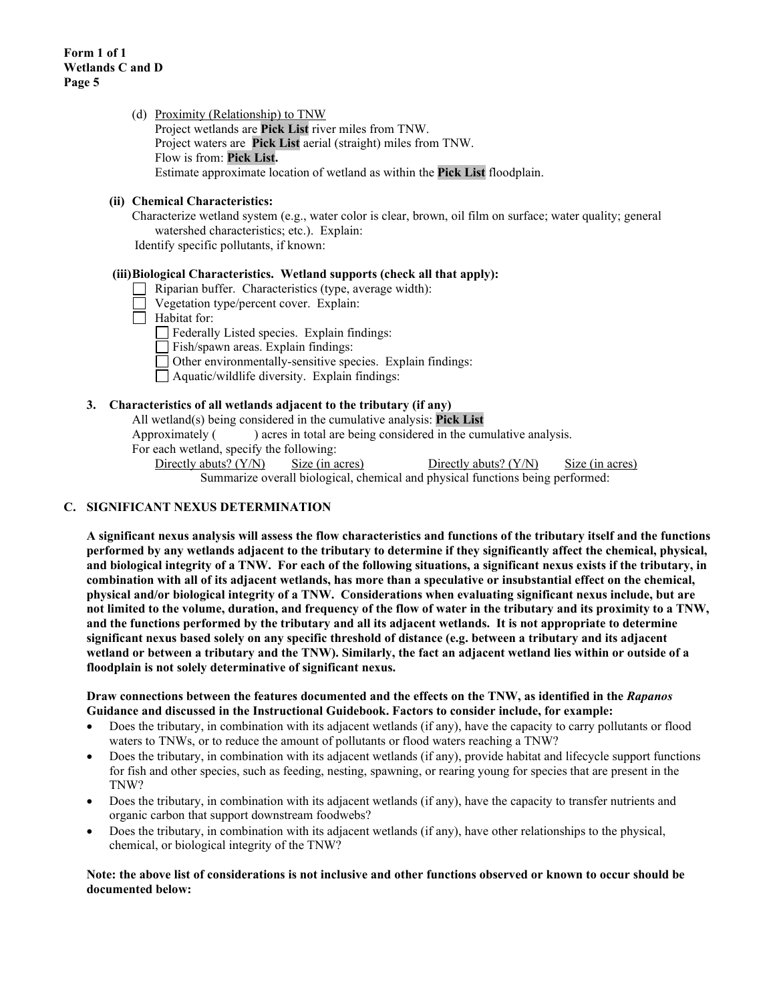(d) Proximity (Relationship) to TNW Project wetlands are **Pick List** river miles from TNW. Project waters are **Pick List** aerial (straight) miles from TNW. Flow is from: **Pick List.** Estimate approximate location of wetland as within the **Pick List** floodplain.

## **(ii) Chemical Characteristics:**

Characterize wetland system (e.g., water color is clear, brown, oil film on surface; water quality; general watershed characteristics; etc.). Explain:

Identify specific pollutants, if known:

#### **(iii)Biological Characteristics. Wetland supports (check all that apply):**

- Riparian buffer. Characteristics (type, average width):
- Vegetation type/percent cover. Explain:
- $\Box$  Habitat for:

Federally Listed species. Explain findings:

- Fish/spawn areas. Explain findings:
- Other environmentally-sensitive species. Explain findings:
- Aquatic/wildlife diversity. Explain findings:

### **3. Characteristics of all wetlands adjacent to the tributary (if any)**

All wetland(s) being considered in the cumulative analysis: **Pick List**

Approximately ( ) acres in total are being considered in the cumulative analysis.

For each wetland, specify the following:

Directly abuts? (Y/N) Size (in acres) Directly abuts? (Y/N) Size (in acres) Summarize overall biological, chemical and physical functions being performed:

## **C. SIGNIFICANT NEXUS DETERMINATION**

**A significant nexus analysis will assess the flow characteristics and functions of the tributary itself and the functions performed by any wetlands adjacent to the tributary to determine if they significantly affect the chemical, physical, and biological integrity of a TNW. For each of the following situations, a significant nexus exists if the tributary, in combination with all of its adjacent wetlands, has more than a speculative or insubstantial effect on the chemical, physical and/or biological integrity of a TNW. Considerations when evaluating significant nexus include, but are not limited to the volume, duration, and frequency of the flow of water in the tributary and its proximity to a TNW, and the functions performed by the tributary and all its adjacent wetlands. It is not appropriate to determine significant nexus based solely on any specific threshold of distance (e.g. between a tributary and its adjacent wetland or between a tributary and the TNW). Similarly, the fact an adjacent wetland lies within or outside of a floodplain is not solely determinative of significant nexus.** 

#### **Draw connections between the features documented and the effects on the TNW, as identified in the** *Rapanos* **Guidance and discussed in the Instructional Guidebook. Factors to consider include, for example:**

- Does the tributary, in combination with its adjacent wetlands (if any), have the capacity to carry pollutants or flood waters to TNWs, or to reduce the amount of pollutants or flood waters reaching a TNW?
- Does the tributary, in combination with its adjacent wetlands (if any), provide habitat and lifecycle support functions for fish and other species, such as feeding, nesting, spawning, or rearing young for species that are present in the TNW?
- Does the tributary, in combination with its adjacent wetlands (if any), have the capacity to transfer nutrients and organic carbon that support downstream foodwebs?
- Does the tributary, in combination with its adjacent wetlands (if any), have other relationships to the physical, chemical, or biological integrity of the TNW?

**Note: the above list of considerations is not inclusive and other functions observed or known to occur should be documented below:**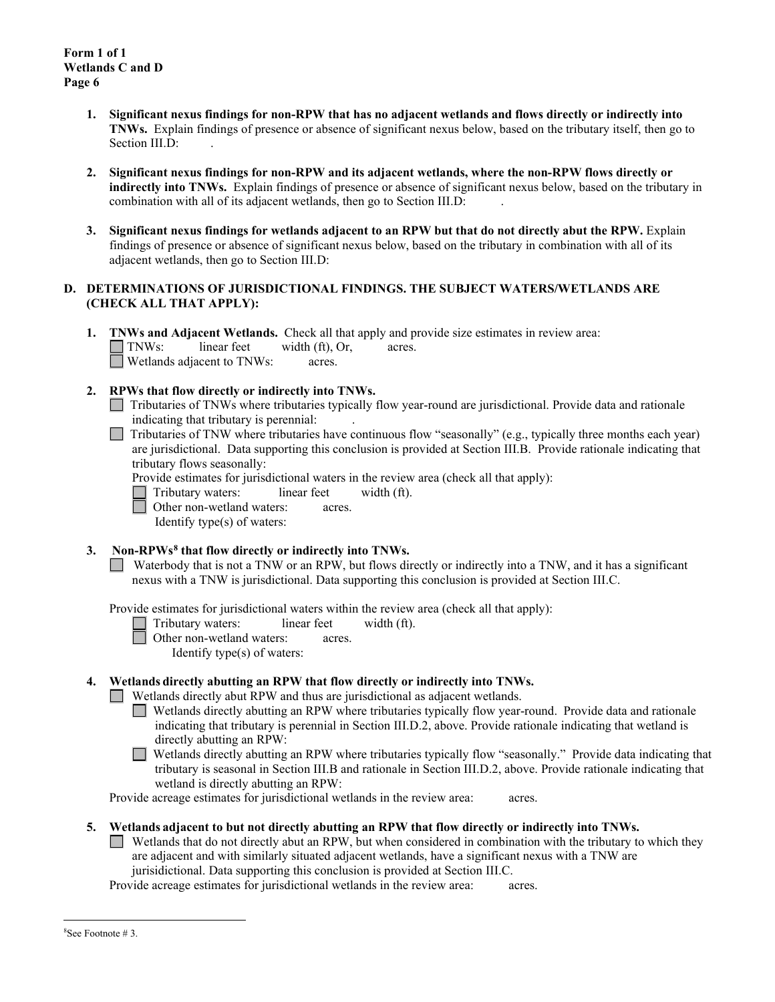- **1. Significant nexus findings for non-RPW that has no adjacent wetlands and flows directly or indirectly into TNWs.** Explain findings of presence or absence of significant nexus below, based on the tributary itself, then go to Section III.D:
- **2. Significant nexus findings for non-RPW and its adjacent wetlands, where the non-RPW flows directly or indirectly into TNWs.** Explain findings of presence or absence of significant nexus below, based on the tributary in combination with all of its adjacent wetlands, then go to Section III.D: .
- **3. Significant nexus findings for wetlands adjacent to an RPW but that do not directly abut the RPW.** Explain findings of presence or absence of significant nexus below, based on the tributary in combination with all of its adjacent wetlands, then go to Section III.D:

## **D. DETERMINATIONS OF JURISDICTIONAL FINDINGS. THE SUBJECT WATERS/WETLANDS ARE (CHECK ALL THAT APPLY):**

**1. TNWs and Adjacent Wetlands.** Check all that apply and provide size estimates in review area:<br>
TNWs: linear feet width (ft), Or, acres.  $linear feet \t width (ft), Or, \t acres.$ Wetlands adjacent to TNWs: acres.

# **2. RPWs that flow directly or indirectly into TNWs.**

- Tributaries of TNWs where tributaries typically flow year-round are jurisdictional. Provide data and rationale indicating that tributary is perennial: .
- Tributaries of TNW where tributaries have continuous flow "seasonally" (e.g., typically three months each year) are jurisdictional. Data supporting this conclusion is provided at Section III.B. Provide rationale indicating that tributary flows seasonally:
	- Provide estimates for jurisdictional waters in the review area (check all that apply):
	- Tributary waters: linear feet width (ft).
	- Other non-wetland waters: acres.

Identify type(s) of waters:

**3. Non-RPWs[8](#page-5-0) that flow directly or indirectly into TNWs.**

Waterbody that is not a TNW or an RPW, but flows directly or indirectly into a TNW, and it has a significant nexus with a TNW is jurisdictional. Data supporting this conclusion is provided at Section III.C.

Provide estimates for jurisdictional waters within the review area (check all that apply):

Tributary waters: linear feet width (ft).

Other non-wetland waters: acres.

Identify type(s) of waters:

## **4. Wetlands directly abutting an RPW that flow directly or indirectly into TNWs.**

Wetlands directly abut RPW and thus are jurisdictional as adjacent wetlands.

Wetlands directly abutting an RPW where tributaries typically flow year-round. Provide data and rationale indicating that tributary is perennial in Section III.D.2, above. Provide rationale indicating that wetland is directly abutting an RPW:

Wetlands directly abutting an RPW where tributaries typically flow "seasonally." Provide data indicating that tributary is seasonal in Section III.B and rationale in Section III.D.2, above. Provide rationale indicating that wetland is directly abutting an RPW:

Provide acreage estimates for jurisdictional wetlands in the review area: acres.

## **5. Wetlands adjacent to but not directly abutting an RPW that flow directly or indirectly into TNWs.**

Wetlands that do not directly abut an RPW, but when considered in combination with the tributary to which they are adjacent and with similarly situated adjacent wetlands, have a significant nexus with a TNW are jurisidictional. Data supporting this conclusion is provided at Section III.C.

Provide acreage estimates for jurisdictional wetlands in the review area: acres.

<span id="page-5-0"></span><sup>8</sup> See Footnote # 3.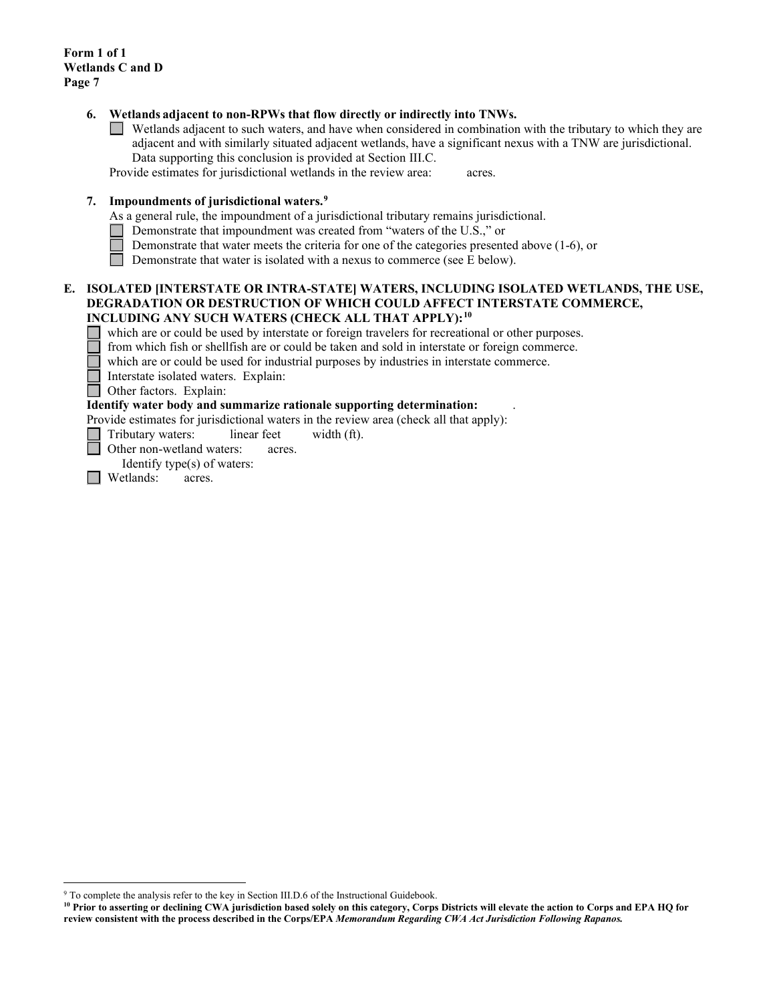**Form 1 of 1 Wetlands C and D Page 7**

### **6. Wetlands adjacent to non-RPWs that flow directly or indirectly into TNWs.**

Wetlands adjacent to such waters, and have when considered in combination with the tributary to which they are adjacent and with similarly situated adjacent wetlands, have a significant nexus with a TNW are jurisdictional. Data supporting this conclusion is provided at Section III.C.

Provide estimates for jurisdictional wetlands in the review area: acres.

### **7. Impoundments of jurisdictional waters. [9](#page-6-0)**

As a general rule, the impoundment of a jurisdictional tributary remains jurisdictional.

- Demonstrate that impoundment was created from "waters of the U.S.," or
- Demonstrate that water meets the criteria for one of the categories presented above (1-6), or
- Demonstrate that water is isolated with a nexus to commerce (see E below).

## **E. ISOLATED [INTERSTATE OR INTRA-STATE] WATERS, INCLUDING ISOLATED WETLANDS, THE USE, DEGRADATION OR DESTRUCTION OF WHICH COULD AFFECT INTERSTATE COMMERCE, INCLUDING ANY SUCH WATERS (CHECK ALL THAT APPLY):[10](#page-6-1)**

which are or could be used by interstate or foreign travelers for recreational or other purposes.

from which fish or shellfish are or could be taken and sold in interstate or foreign commerce.

which are or could be used for industrial purposes by industries in interstate commerce.

Interstate isolated waters.Explain:

**Other factors.** Explain:

## **Identify water body and summarize rationale supporting determination:** .

Provide estimates for jurisdictional waters in the review area (check all that apply):

Tributary waters: linear feet width (ft).

Other non-wetland waters: acres.

Identify type(s) of waters:

**I** Wetlands: acres.

<span id="page-6-0"></span><sup>&</sup>lt;sup>9</sup> To complete the analysis refer to the key in Section III.D.6 of the Instructional Guidebook.

<span id="page-6-1"></span>**<sup>10</sup> Prior to asserting or declining CWA jurisdiction based solely on this category, Corps Districts will elevate the action to Corps and EPA HQ for review consistent with the process described in the Corps/EPA** *Memorandum Regarding CWA Act Jurisdiction Following Rapanos.*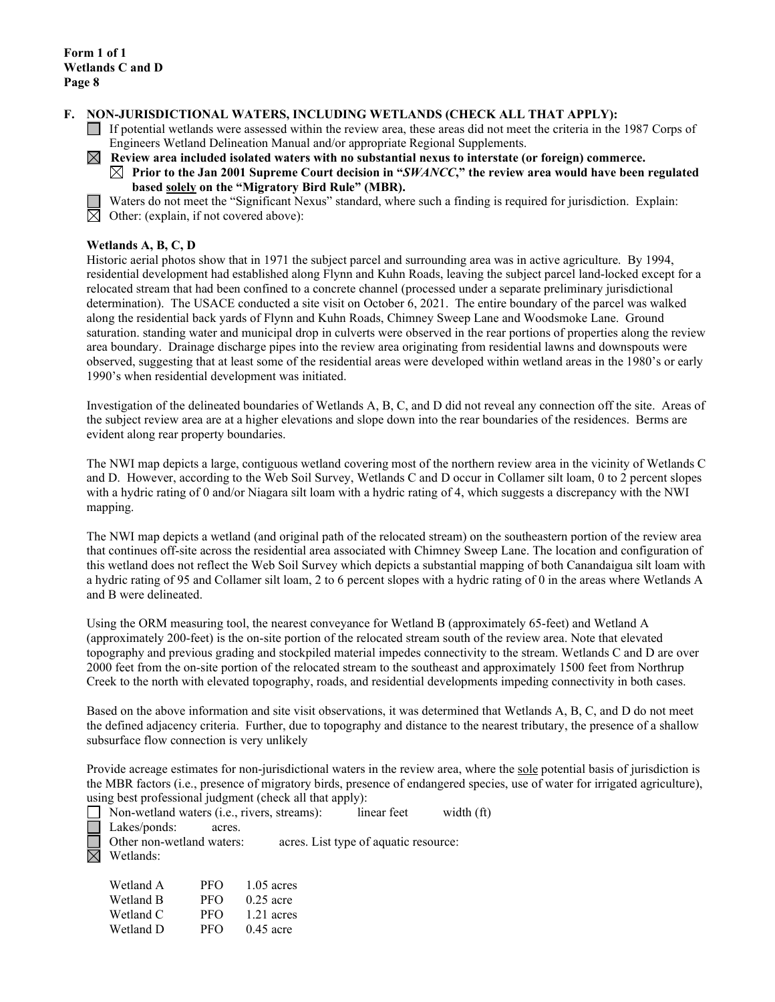### **F. NON-JURISDICTIONAL WATERS, INCLUDING WETLANDS (CHECK ALL THAT APPLY):**

- If potential wetlands were assessed within the review area, these areas did not meet the criteria in the 1987 Corps of Engineers Wetland Delineation Manual and/or appropriate Regional Supplements.
- **Review area included isolated waters with no substantial nexus to interstate (or foreign) commerce.** 
	- $\boxtimes$  Prior to the Jan 2001 Supreme Court decision in "*SWANCC*," the review area would have been regulated **based solely on the "Migratory Bird Rule" (MBR).**
	- Waters do not meet the "Significant Nexus" standard, where such a finding is required for jurisdiction. Explain:
- $\overline{\boxtimes}$  Other: (explain, if not covered above):

### **Wetlands A, B, C, D**

Historic aerial photos show that in 1971 the subject parcel and surrounding area was in active agriculture. By 1994, residential development had established along Flynn and Kuhn Roads, leaving the subject parcel land-locked except for a relocated stream that had been confined to a concrete channel (processed under a separate preliminary jurisdictional determination). The USACE conducted a site visit on October 6, 2021. The entire boundary of the parcel was walked along the residential back yards of Flynn and Kuhn Roads, Chimney Sweep Lane and Woodsmoke Lane. Ground saturation. standing water and municipal drop in culverts were observed in the rear portions of properties along the review area boundary. Drainage discharge pipes into the review area originating from residential lawns and downspouts were observed, suggesting that at least some of the residential areas were developed within wetland areas in the 1980's or early 1990's when residential development was initiated.

Investigation of the delineated boundaries of Wetlands A, B, C, and D did not reveal any connection off the site. Areas of the subject review area are at a higher elevations and slope down into the rear boundaries of the residences. Berms are evident along rear property boundaries.

The NWI map depicts a large, contiguous wetland covering most of the northern review area in the vicinity of Wetlands C and D. However, according to the Web Soil Survey, Wetlands C and D occur in Collamer silt loam, 0 to 2 percent slopes with a hydric rating of 0 and/or Niagara silt loam with a hydric rating of 4, which suggests a discrepancy with the NWI mapping.

The NWI map depicts a wetland (and original path of the relocated stream) on the southeastern portion of the review area that continues off-site across the residential area associated with Chimney Sweep Lane. The location and configuration of this wetland does not reflect the Web Soil Survey which depicts a substantial mapping of both Canandaigua silt loam with a hydric rating of 95 and Collamer silt loam, 2 to 6 percent slopes with a hydric rating of 0 in the areas where Wetlands A and B were delineated.

Using the ORM measuring tool, the nearest conveyance for Wetland B (approximately 65-feet) and Wetland A (approximately 200-feet) is the on-site portion of the relocated stream south of the review area. Note that elevated topography and previous grading and stockpiled material impedes connectivity to the stream. Wetlands C and D are over 2000 feet from the on-site portion of the relocated stream to the southeast and approximately 1500 feet from Northrup Creek to the north with elevated topography, roads, and residential developments impeding connectivity in both cases.

Based on the above information and site visit observations, it was determined that Wetlands A, B, C, and D do not meet the defined adjacency criteria. Further, due to topography and distance to the nearest tributary, the presence of a shallow subsurface flow connection is very unlikely

Provide acreage estimates for non-jurisdictional waters in the review area, where the sole potential basis of jurisdiction is the MBR factors (i.e., presence of migratory birds, presence of endangered species, use of water for irrigated agriculture), using best professional judgment (check all that apply):

Non-wetland waters (i.e., rivers, streams): linear feet width (ft) Lakes/ponds: acres. Other non-wetland waters: acres. List type of aquatic resource:  $\boxtimes$  Wetlands:

| Wetland A | PFO | $1.05$ acres |
|-----------|-----|--------------|
| Wetland B | PFO | $0.25$ acre  |
| Wetland C | PFO | $1.21$ acres |
| Wetland D | PFO | $0.45$ acre  |